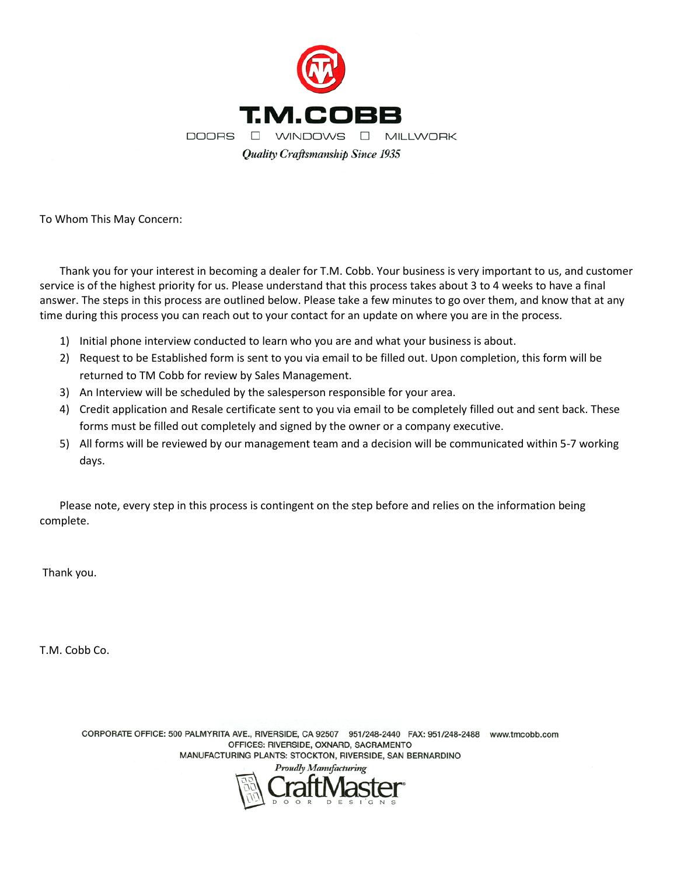

To Whom This May Concern:

Thank you for your interest in becoming a dealer for T.M. Cobb. Your business is very important to us, and customer service is of the highest priority for us. Please understand that this process takes about 3 to 4 weeks to have a final answer. The steps in this process are outlined below. Please take a few minutes to go over them, and know that at any time during this process you can reach out to your contact for an update on where you are in the process.

- 1) Initial phone interview conducted to learn who you are and what your business is about.
- 2) Request to be Established form is sent to you via email to be filled out. Upon completion, this form will be returned to TM Cobb for review by Sales Management.
- 3) An Interview will be scheduled by the salesperson responsible for your area.
- 4) Credit application and Resale certificate sent to you via email to be completely filled out and sent back. These forms must be filled out completely and signed by the owner or a company executive.
- 5) All forms will be reviewed by our management team and a decision will be communicated within 5-7 working days.

Please note, every step in this process is contingent on the step before and relies on the information being complete.

Thank you.

T.M. Cobb Co.

CORPORATE OFFICE: 500 PALMYRITA AVE., RIVERSIDE, CA 92507 951/248-2440 FAX: 951/248-2488 www.tmcobb.com OFFICES: RIVERSIDE, OXNARD, SACRAMENTO MANUFACTURING PLANTS: STOCKTON, RIVERSIDE, SAN BERNARDINO Proudly Manufacturi